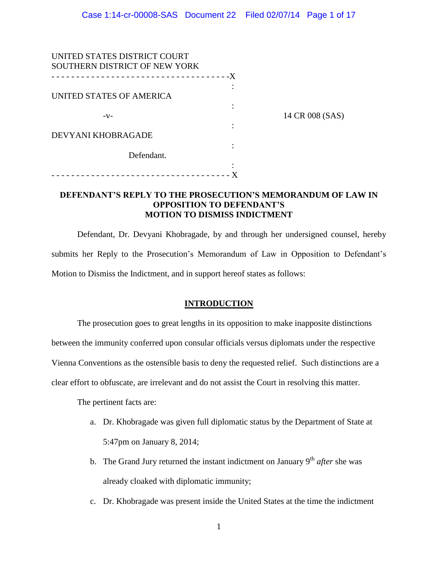| UNITED STATES DISTRICT COURT      |                 |
|-----------------------------------|-----------------|
| SOUTHERN DISTRICT OF NEW YORK     |                 |
| --------------------------------X |                 |
|                                   |                 |
| UNITED STATES OF AMERICA          |                 |
|                                   |                 |
| $-V-$                             | 14 CR 008 (SAS) |
|                                   |                 |
| DEVYANI KHOBRAGADE                |                 |
|                                   |                 |
| Defendant.                        |                 |
|                                   |                 |
| <u>.</u>                          |                 |

## **DEFENDANT'S REPLY TO THE PROSECUTION'S MEMORANDUM OF LAW IN OPPOSITION TO DEFENDANT'S MOTION TO DISMISS INDICTMENT**

Defendant, Dr. Devyani Khobragade, by and through her undersigned counsel, hereby submits her Reply to the Prosecution's Memorandum of Law in Opposition to Defendant's Motion to Dismiss the Indictment, and in support hereof states as follows:

## **INTRODUCTION**

The prosecution goes to great lengths in its opposition to make inapposite distinctions between the immunity conferred upon consular officials versus diplomats under the respective Vienna Conventions as the ostensible basis to deny the requested relief. Such distinctions are a

clear effort to obfuscate, are irrelevant and do not assist the Court in resolving this matter.

The pertinent facts are:

- a. Dr. Khobragade was given full diplomatic status by the Department of State at 5:47pm on January 8, 2014;
- b. The Grand Jury returned the instant indictment on January  $9<sup>th</sup>$  *after* she was already cloaked with diplomatic immunity;
- c. Dr. Khobragade was present inside the United States at the time the indictment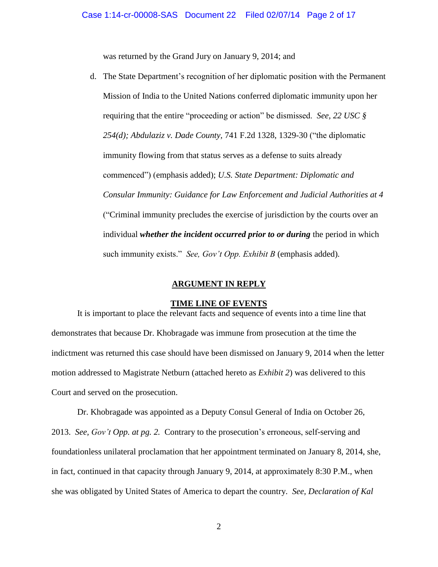was returned by the Grand Jury on January 9, 2014; and

d. The State Department's recognition of her diplomatic position with the Permanent Mission of India to the United Nations conferred diplomatic immunity upon her requiring that the entire "proceeding or action" be dismissed. *See, 22 USC § 254(d); Abdulaziz v. Dade County,* 741 F.2d 1328, 1329-30 ("the diplomatic immunity flowing from that status serves as a defense to suits already commenced") (emphasis added); *U.S. State Department: Diplomatic and Consular Immunity: Guidance for Law Enforcement and Judicial Authorities at 4*  ("Criminal immunity precludes the exercise of jurisdiction by the courts over an individual *whether the incident occurred prior to or during* the period in which such immunity exists." *See, Gov't Opp. Exhibit B* (emphasis added)*.* 

#### **ARGUMENT IN REPLY**

#### **TIME LINE OF EVENTS**

It is important to place the relevant facts and sequence of events into a time line that demonstrates that because Dr. Khobragade was immune from prosecution at the time the indictment was returned this case should have been dismissed on January 9, 2014 when the letter motion addressed to Magistrate Netburn (attached hereto as *Exhibit 2*) was delivered to this Court and served on the prosecution.

Dr. Khobragade was appointed as a Deputy Consul General of India on October 26, 2013. *See, Gov't Opp. at pg. 2.* Contrary to the prosecution's erroneous, self-serving and foundationless unilateral proclamation that her appointment terminated on January 8, 2014, she, in fact, continued in that capacity through January 9, 2014, at approximately 8:30 P.M., when she was obligated by United States of America to depart the country. *See, Declaration of Kal*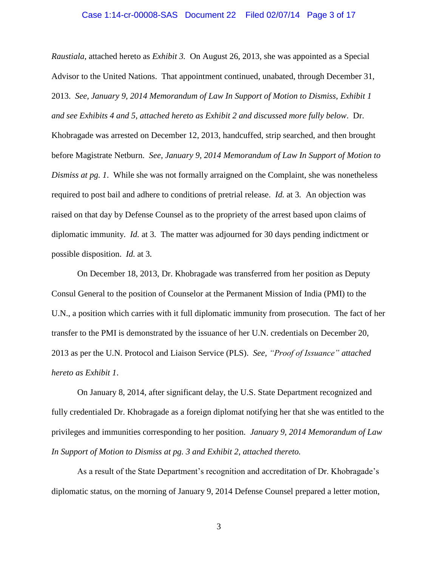### Case 1:14-cr-00008-SAS Document 22 Filed 02/07/14 Page 3 of 17

*Raustiala,* attached hereto as *Exhibit 3.* On August 26, 2013, she was appointed as a Special Advisor to the United Nations. That appointment continued, unabated, through December 31, 2013. *See, January 9, 2014 Memorandum of Law In Support of Motion to Dismiss, Exhibit 1 and see Exhibits 4 and 5*, *attached hereto as Exhibit 2 and discussed more fully below*. Dr. Khobragade was arrested on December 12, 2013, handcuffed, strip searched, and then brought before Magistrate Netburn. *See, January 9, 2014 Memorandum of Law In Support of Motion to Dismiss at pg. 1*. While she was not formally arraigned on the Complaint, she was nonetheless required to post bail and adhere to conditions of pretrial release. *Id.* at 3*.* An objection was raised on that day by Defense Counsel as to the propriety of the arrest based upon claims of diplomatic immunity. *Id.* at 3*.* The matter was adjourned for 30 days pending indictment or possible disposition. *Id.* at 3*.* 

On December 18, 2013, Dr. Khobragade was transferred from her position as Deputy Consul General to the position of Counselor at the Permanent Mission of India (PMI) to the U.N., a position which carries with it full diplomatic immunity from prosecution. The fact of her transfer to the PMI is demonstrated by the issuance of her U.N. credentials on December 20, 2013 as per the U.N. Protocol and Liaison Service (PLS). *See, "Proof of Issuance" attached hereto as Exhibit 1*.

On January 8, 2014, after significant delay, the U.S. State Department recognized and fully credentialed Dr. Khobragade as a foreign diplomat notifying her that she was entitled to the privileges and immunities corresponding to her position. *January 9, 2014 Memorandum of Law In Support of Motion to Dismiss at pg. 3 and Exhibit 2, attached thereto.*

As a result of the State Department's recognition and accreditation of Dr. Khobragade's diplomatic status, on the morning of January 9, 2014 Defense Counsel prepared a letter motion,

3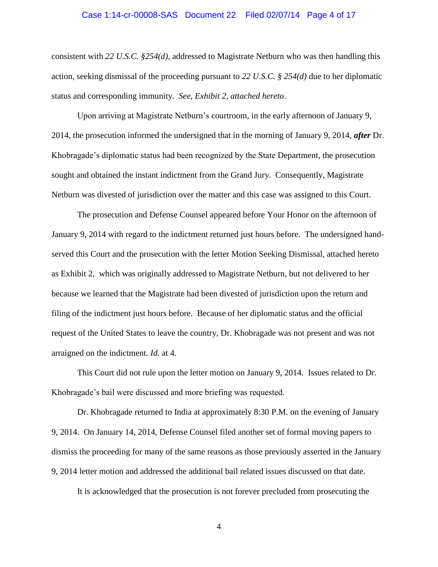### Case 1:14-cr-00008-SAS Document 22 Filed 02/07/14 Page 4 of 17

consistent with *22 U.S.C. §254(d),* addressed to Magistrate Netburn who was then handling this action, seeking dismissal of the proceeding pursuant to *22 U.S.C. § 254(d)* due to her diplomatic status and corresponding immunity. *See, Exhibit 2, attached hereto*.

Upon arriving at Magistrate Netburn's courtroom, in the early afternoon of January 9, 2014, the prosecution informed the undersigned that in the morning of January 9, 2014, *after* Dr. Khobragade's diplomatic status had been recognized by the State Department, the prosecution sought and obtained the instant indictment from the Grand Jury. Consequently, Magistrate Netburn was divested of jurisdiction over the matter and this case was assigned to this Court.

The prosecution and Defense Counsel appeared before Your Honor on the afternoon of January 9, 2014 with regard to the indictment returned just hours before. The undersigned handserved this Court and the prosecution with the letter Motion Seeking Dismissal, attached hereto as Exhibit 2, which was originally addressed to Magistrate Netburn, but not delivered to her because we learned that the Magistrate had been divested of jurisdiction upon the return and filing of the indictment just hours before. Because of her diplomatic status and the official request of the United States to leave the country, Dr. Khobragade was not present and was not arraigned on the indictment. *Id.* at 4.

This Court did not rule upon the letter motion on January 9, 2014. Issues related to Dr. Khobragade's bail were discussed and more briefing was requested.

Dr. Khobragade returned to India at approximately 8:30 P.M. on the evening of January 9, 2014. On January 14, 2014, Defense Counsel filed another set of formal moving papers to dismiss the proceeding for many of the same reasons as those previously asserted in the January 9, 2014 letter motion and addressed the additional bail related issues discussed on that date.

It is acknowledged that the prosecution is not forever precluded from prosecuting the

4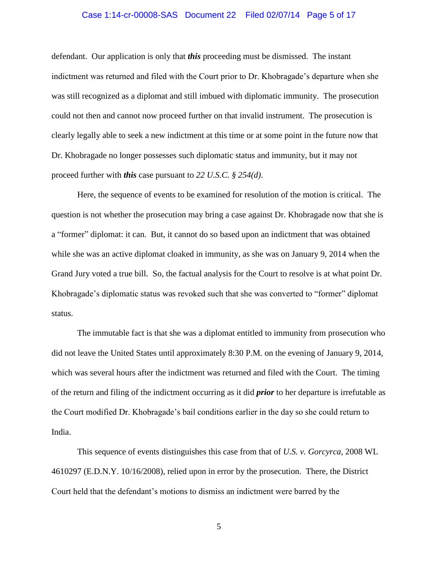### Case 1:14-cr-00008-SAS Document 22 Filed 02/07/14 Page 5 of 17

defendant. Our application is only that *this* proceeding must be dismissed. The instant indictment was returned and filed with the Court prior to Dr. Khobragade's departure when she was still recognized as a diplomat and still imbued with diplomatic immunity. The prosecution could not then and cannot now proceed further on that invalid instrument. The prosecution is clearly legally able to seek a new indictment at this time or at some point in the future now that Dr. Khobragade no longer possesses such diplomatic status and immunity, but it may not proceed further with *this* case pursuant to *22 U.S.C. § 254(d)*.

Here, the sequence of events to be examined for resolution of the motion is critical. The question is not whether the prosecution may bring a case against Dr. Khobragade now that she is a "former" diplomat: it can. But, it cannot do so based upon an indictment that was obtained while she was an active diplomat cloaked in immunity, as she was on January 9, 2014 when the Grand Jury voted a true bill. So, the factual analysis for the Court to resolve is at what point Dr. Khobragade's diplomatic status was revoked such that she was converted to "former" diplomat status.

The immutable fact is that she was a diplomat entitled to immunity from prosecution who did not leave the United States until approximately 8:30 P.M. on the evening of January 9, 2014, which was several hours after the indictment was returned and filed with the Court. The timing of the return and filing of the indictment occurring as it did *prior* to her departure is irrefutable as the Court modified Dr. Khobragade's bail conditions earlier in the day so she could return to India.

This sequence of events distinguishes this case from that of *U.S. v. Gorcyrca,* 2008 WL 4610297 (E.D.N.Y. 10/16/2008)*,* relied upon in error by the prosecution. There, the District Court held that the defendant's motions to dismiss an indictment were barred by the

5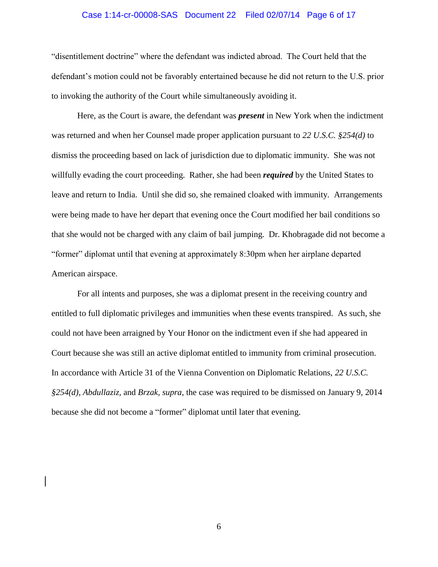### Case 1:14-cr-00008-SAS Document 22 Filed 02/07/14 Page 6 of 17

"disentitlement doctrine" where the defendant was indicted abroad. The Court held that the defendant's motion could not be favorably entertained because he did not return to the U.S. prior to invoking the authority of the Court while simultaneously avoiding it.

Here, as the Court is aware, the defendant was *present* in New York when the indictment was returned and when her Counsel made proper application pursuant to *22 U.S.C. §254(d)* to dismiss the proceeding based on lack of jurisdiction due to diplomatic immunity. She was not willfully evading the court proceeding. Rather, she had been *required* by the United States to leave and return to India. Until she did so, she remained cloaked with immunity. Arrangements were being made to have her depart that evening once the Court modified her bail conditions so that she would not be charged with any claim of bail jumping. Dr. Khobragade did not become a "former" diplomat until that evening at approximately 8:30pm when her airplane departed American airspace.

For all intents and purposes, she was a diplomat present in the receiving country and entitled to full diplomatic privileges and immunities when these events transpired. As such, she could not have been arraigned by Your Honor on the indictment even if she had appeared in Court because she was still an active diplomat entitled to immunity from criminal prosecution. In accordance with Article 31 of the Vienna Convention on Diplomatic Relations, *22 U.S.C. §254(d), Abdullaziz,* and *Brzak, supra*, the case was required to be dismissed on January 9, 2014 because she did not become a "former" diplomat until later that evening.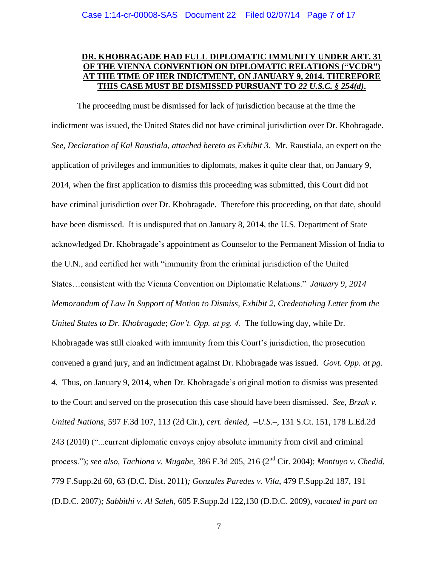# **DR. KHOBRAGADE HAD FULL DIPLOMATIC IMMUNITY UNDER ART. 31 OF THE VIENNA CONVENTION ON DIPLOMATIC RELATIONS ("VCDR") AT THE TIME OF HER INDICTMENT, ON JANUARY 9, 2014. THEREFORE THIS CASE MUST BE DISMISSED PURSUANT TO** *22 U.S.C. § 254(d)***.**

The proceeding must be dismissed for lack of jurisdiction because at the time the indictment was issued, the United States did not have criminal jurisdiction over Dr. Khobragade. *See, Declaration of Kal Raustiala, attached hereto as Exhibit 3*. Mr. Raustiala, an expert on the application of privileges and immunities to diplomats, makes it quite clear that, on January 9, 2014, when the first application to dismiss this proceeding was submitted, this Court did not have criminal jurisdiction over Dr. Khobragade. Therefore this proceeding, on that date, should have been dismissed. It is undisputed that on January 8, 2014, the U.S. Department of State acknowledged Dr. Khobragade's appointment as Counselor to the Permanent Mission of India to the U.N., and certified her with "immunity from the criminal jurisdiction of the United States…consistent with the Vienna Convention on Diplomatic Relations." *January 9, 2014 Memorandum of Law In Support of Motion to Dismiss, Exhibit 2*, *Credentialing Letter from the United States to Dr. Khobragade*; *Gov't. Opp. at pg. 4*. The following day, while Dr. Khobragade was still cloaked with immunity from this Court's jurisdiction, the prosecution convened a grand jury, and an indictment against Dr. Khobragade was issued. *Govt. Opp. at pg. 4.* Thus, on January 9, 2014, when Dr. Khobragade's original motion to dismiss was presented to the Court and served on the prosecution this case should have been dismissed. *See, Brzak v. United Nations*, 597 F.3d 107, 113 (2d Cir.), *cert. denied, –U.S.–,* 131 S.Ct. 151, 178 L.Ed.2d 243 (2010) ("...current diplomatic envoys enjoy absolute immunity from civil and criminal process."); *see also, Tachiona v. Mugabe,* 386 F.3d 205, 216 (2nd Cir. 2004); *Montuyo v. Chedid,*  779 F.Supp.2d 60, 63 (D.C. Dist. 2011)*; Gonzales Paredes v. Vila*, 479 F.Supp.2d 187, 191 (D.D.C. 2007)*; Sabbithi v. Al Saleh*, 605 F.Supp.2d 122,130 (D.D.C. 2009), *vacated in part on*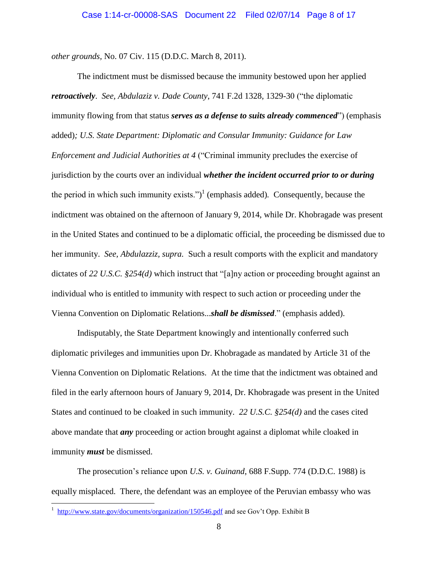*other grounds,* No. 07 Civ. 115 (D.D.C. March 8, 2011).

The indictment must be dismissed because the immunity bestowed upon her applied *retroactively*. *See, Abdulaziz v. Dade County*, 741 F.2d 1328, 1329-30 ("the diplomatic immunity flowing from that status *serves as a defense to suits already commenced*") (emphasis added)*; U.S. State Department: Diplomatic and Consular Immunity: Guidance for Law Enforcement and Judicial Authorities at 4* ("Criminal immunity precludes the exercise of jurisdiction by the courts over an individual *whether the incident occurred prior to or during* the period in which such immunity exists.") 1 (emphasis added)*.* Consequently, because the indictment was obtained on the afternoon of January 9, 2014, while Dr. Khobragade was present in the United States and continued to be a diplomatic official, the proceeding be dismissed due to her immunity. *See, Abdulazziz, supra.* Such a result comports with the explicit and mandatory dictates of *22 U.S.C. §254(d)* which instruct that "[a]ny action or proceeding brought against an individual who is entitled to immunity with respect to such action or proceeding under the Vienna Convention on Diplomatic Relations...*shall be dismissed*." (emphasis added).

Indisputably, the State Department knowingly and intentionally conferred such diplomatic privileges and immunities upon Dr. Khobragade as mandated by Article 31 of the Vienna Convention on Diplomatic Relations. At the time that the indictment was obtained and filed in the early afternoon hours of January 9, 2014, Dr. Khobragade was present in the United States and continued to be cloaked in such immunity. *22 U.S.C. §254(d)* and the cases cited above mandate that *any* proceeding or action brought against a diplomat while cloaked in immunity *must* be dismissed.

The prosecution's reliance upon *U.S. v. Guinand*, 688 F.Supp. 774 (D.D.C. 1988) is equally misplaced. There, the defendant was an employee of the Peruvian embassy who was

<sup>&</sup>lt;sup>1</sup> [http://www.state.gov/documents/organization/150546.pdf](www.state.gov/documents/organization/150546.pdf) and see Gov't Opp. Exhibit B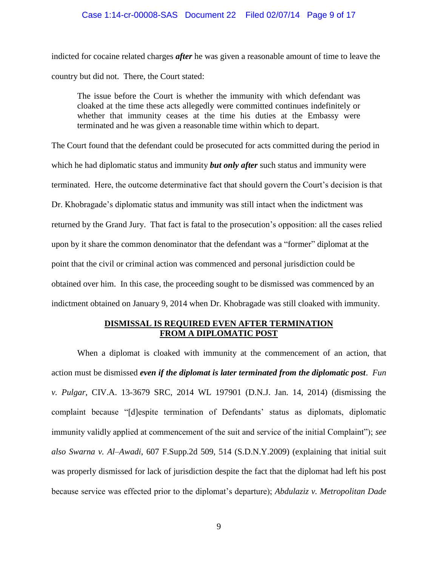### Case 1:14-cr-00008-SAS Document 22 Filed 02/07/14 Page 9 of 17

indicted for cocaine related charges *after* he was given a reasonable amount of time to leave the country but did not. There, the Court stated:

The issue before the Court is whether the immunity with which defendant was cloaked at the time these acts allegedly were committed continues indefinitely or whether that immunity ceases at the time his duties at the Embassy were terminated and he was given a reasonable time within which to depart.

The Court found that the defendant could be prosecuted for acts committed during the period in which he had diplomatic status and immunity *but only after* such status and immunity were terminated. Here, the outcome determinative fact that should govern the Court's decision is that Dr. Khobragade's diplomatic status and immunity was still intact when the indictment was returned by the Grand Jury. That fact is fatal to the prosecution's opposition: all the cases relied upon by it share the common denominator that the defendant was a "former" diplomat at the point that the civil or criminal action was commenced and personal jurisdiction could be obtained over him. In this case, the proceeding sought to be dismissed was commenced by an indictment obtained on January 9, 2014 when Dr. Khobragade was still cloaked with immunity.

## **DISMISSAL IS REQUIRED EVEN AFTER TERMINATION FROM A DIPLOMATIC POST**

When a diplomat is cloaked with immunity at the commencement of an action, that action must be dismissed *even if the diplomat is later terminated from the diplomatic post*. *Fun v. Pulgar*, CIV.A. 13-3679 SRC, 2014 WL 197901 (D.N.J. Jan. 14, 2014) (dismissing the complaint because "[d]espite termination of Defendants' status as diplomats, diplomatic immunity validly applied at commencement of the suit and service of the initial Complaint"); *see also Swarna v. Al–Awadi*, 607 F.Supp.2d 509, 514 (S.D.N.Y.2009) (explaining that initial suit was properly dismissed for lack of jurisdiction despite the fact that the diplomat had left his post because service was effected prior to the diplomat's departure); *Abdulaziz v. Metropolitan Dade*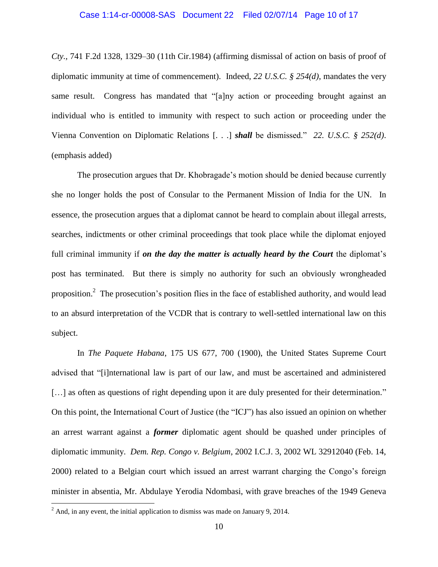### Case 1:14-cr-00008-SAS Document 22 Filed 02/07/14 Page 10 of 17

*Cty.,* 741 F.2d 1328, 1329–30 (11th Cir.1984) (affirming dismissal of action on basis of proof of diplomatic immunity at time of commencement). Indeed, *22 U.S.C. § 254(d)*, mandates the very same result. Congress has mandated that "[a]ny action or proceeding brought against an individual who is entitled to immunity with respect to such action or proceeding under the Vienna Convention on Diplomatic Relations [. . .] *shall* be dismissed." *22. U.S.C. § 252(d)*. (emphasis added)

The prosecution argues that Dr. Khobragade's motion should be denied because currently she no longer holds the post of Consular to the Permanent Mission of India for the UN. In essence, the prosecution argues that a diplomat cannot be heard to complain about illegal arrests, searches, indictments or other criminal proceedings that took place while the diplomat enjoyed full criminal immunity if *on the day the matter is actually heard by the Court* the diplomat's post has terminated. But there is simply no authority for such an obviously wrongheaded proposition.<sup>2</sup> The prosecution's position flies in the face of established authority, and would lead to an absurd interpretation of the VCDR that is contrary to well-settled international law on this subject.

In *The Paquete Habana*, 175 US 677, 700 (1900), the United States Supreme Court advised that "[i]nternational law is part of our law, and must be ascertained and administered [...] as often as questions of right depending upon it are duly presented for their determination." On this point, the International Court of Justice (the "ICJ") has also issued an opinion on whether an arrest warrant against a *former* diplomatic agent should be quashed under principles of diplomatic immunity. *Dem. Rep. Congo v. Belgium*, 2002 I.C.J. 3, 2002 WL 32912040 (Feb. 14, 2000) related to a Belgian court which issued an arrest warrant charging the Congo's foreign minister in absentia, Mr. Abdulaye Yerodia Ndombasi, with grave breaches of the 1949 Geneva

 $\overline{\phantom{a}}$ 

 $^{2}$  And, in any event, the initial application to dismiss was made on January 9, 2014.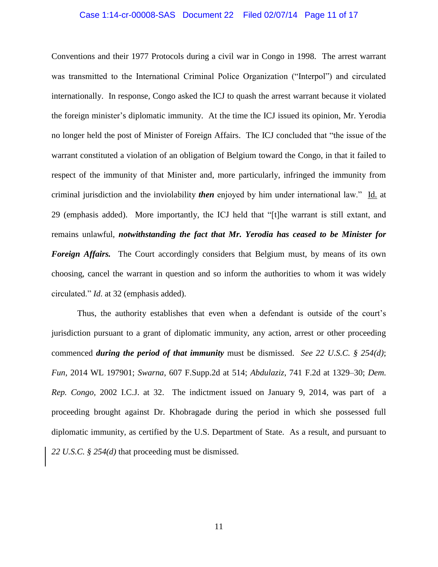### Case 1:14-cr-00008-SAS Document 22 Filed 02/07/14 Page 11 of 17

Conventions and their 1977 Protocols during a civil war in Congo in 1998. The arrest warrant was transmitted to the International Criminal Police Organization ("Interpol") and circulated internationally. In response, Congo asked the ICJ to quash the arrest warrant because it violated the foreign minister's diplomatic immunity. At the time the ICJ issued its opinion, Mr. Yerodia no longer held the post of Minister of Foreign Affairs. The ICJ concluded that "the issue of the warrant constituted a violation of an obligation of Belgium toward the Congo, in that it failed to respect of the immunity of that Minister and, more particularly, infringed the immunity from criminal jurisdiction and the inviolability *then* enjoyed by him under international law." Id. at 29 (emphasis added). More importantly, the ICJ held that "[t]he warrant is still extant, and remains unlawful, *notwithstanding the fact that Mr. Yerodia has ceased to be Minister for Foreign Affairs.* The Court accordingly considers that Belgium must, by means of its own choosing, cancel the warrant in question and so inform the authorities to whom it was widely circulated." *Id*. at 32 (emphasis added).

Thus, the authority establishes that even when a defendant is outside of the court's jurisdiction pursuant to a grant of diplomatic immunity, any action, arrest or other proceeding commenced *during the period of that immunity* must be dismissed. *See 22 U.S.C. § 254(d)*; *Fun,* 2014 WL 197901; *Swarna*, 607 F.Supp.2d at 514; *Abdulaziz*, 741 F.2d at 1329–30; *Dem. Rep. Congo,* 2002 I.C.J. at 32. The indictment issued on January 9, 2014, was part of a proceeding brought against Dr. Khobragade during the period in which she possessed full diplomatic immunity, as certified by the U.S. Department of State. As a result, and pursuant to *22 U.S.C. § 254(d)* that proceeding must be dismissed.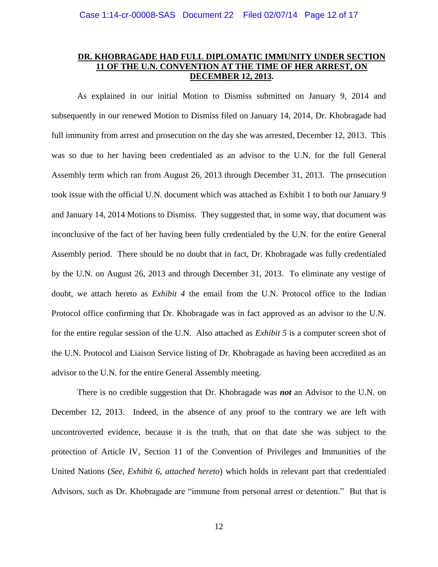# **DR. KHOBRAGADE HAD FULL DIPLOMATIC IMMUNITY UNDER SECTION 11 OF THE U.N. CONVENTION AT THE TIME OF HER ARREST, ON DECEMBER 12, 2013.**

As explained in our initial Motion to Dismiss submitted on January 9, 2014 and subsequently in our renewed Motion to Dismiss filed on January 14, 2014, Dr. Khobragade had full immunity from arrest and prosecution on the day she was arrested, December 12, 2013. This was so due to her having been credentialed as an advisor to the U.N. for the full General Assembly term which ran from August 26, 2013 through December 31, 2013. The prosecution took issue with the official U.N. document which was attached as Exhibit 1 to both our January 9 and January 14, 2014 Motions to Dismiss. They suggested that, in some way, that document was inconclusive of the fact of her having been fully credentialed by the U.N. for the entire General Assembly period. There should be no doubt that in fact, Dr. Khobragade was fully credentialed by the U.N. on August 26, 2013 and through December 31, 2013. To eliminate any vestige of doubt, we attach hereto as *Exhibit 4* the email from the U.N. Protocol office to the Indian Protocol office confirming that Dr. Khobragade was in fact approved as an advisor to the U.N. for the entire regular session of the U.N. Also attached as *Exhibit 5* is a computer screen shot of the U.N. Protocol and Liaison Service listing of Dr. Khobragade as having been accredited as an advisor to the U.N. for the entire General Assembly meeting.

There is no credible suggestion that Dr. Khobragade was *not* an Advisor to the U.N. on December 12, 2013. Indeed, in the absence of any proof to the contrary we are left with uncontroverted evidence, because it is the truth, that on that date she was subject to the protection of Article IV, Section 11 of the Convention of Privileges and Immunities of the United Nations (*See, Exhibit 6*, *attached hereto*) which holds in relevant part that credentialed Advisors, such as Dr. Khobragade are "immune from personal arrest or detention." But that is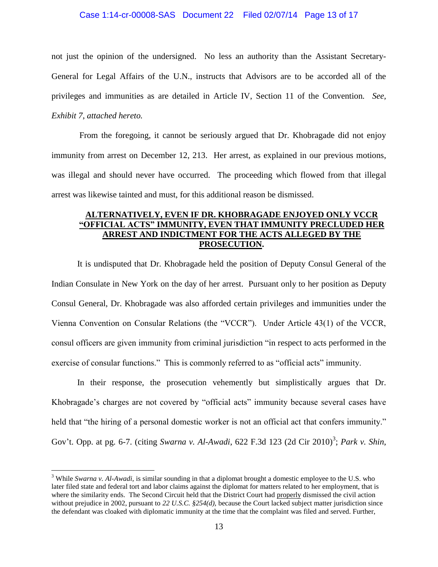### Case 1:14-cr-00008-SAS Document 22 Filed 02/07/14 Page 13 of 17

not just the opinion of the undersigned. No less an authority than the Assistant Secretary-General for Legal Affairs of the U.N., instructs that Advisors are to be accorded all of the privileges and immunities as are detailed in Article IV, Section 11 of the Convention*. See, Exhibit 7*, *attached hereto.*

From the foregoing, it cannot be seriously argued that Dr. Khobragade did not enjoy immunity from arrest on December 12, 213. Her arrest, as explained in our previous motions, was illegal and should never have occurred. The proceeding which flowed from that illegal arrest was likewise tainted and must, for this additional reason be dismissed.

# **ALTERNATIVELY, EVEN IF DR. KHOBRAGADE ENJOYED ONLY VCCR "OFFICIAL ACTS" IMMUNITY, EVEN THAT IMMUNITY PRECLUDED HER ARREST AND INDICTMENT FOR THE ACTS ALLEGED BY THE PROSECUTION.**

It is undisputed that Dr. Khobragade held the position of Deputy Consul General of the Indian Consulate in New York on the day of her arrest. Pursuant only to her position as Deputy Consul General, Dr. Khobragade was also afforded certain privileges and immunities under the Vienna Convention on Consular Relations (the "VCCR"). Under Article 43(1) of the VCCR, consul officers are given immunity from criminal jurisdiction "in respect to acts performed in the exercise of consular functions." This is commonly referred to as "official acts" immunity.

In their response, the prosecution vehemently but simplistically argues that Dr. Khobragade's charges are not covered by "official acts" immunity because several cases have held that "the hiring of a personal domestic worker is not an official act that confers immunity." Gov't. Opp. at pg. 6-7. (citing *Swarna v. Al-Awadi*, 622 F.3d 123 (2d Cir 2010)<sup>3</sup>; *Park v. Shin*,

 $\overline{a}$ 

<sup>3</sup> While *Swarna v. Al-Awadi,* is similar sounding in that a diplomat brought a domestic employee to the U.S. who later filed state and federal tort and labor claims against the diplomat for matters related to her employment, that is where the similarity ends. The Second Circuit held that the District Court had properly dismissed the civil action without prejudice in 2002, pursuant to 22 U.S.C. §254(d), because the Court lacked subject matter jurisdiction since the defendant was cloaked with diplomatic immunity at the time that the complaint was filed and served. Further,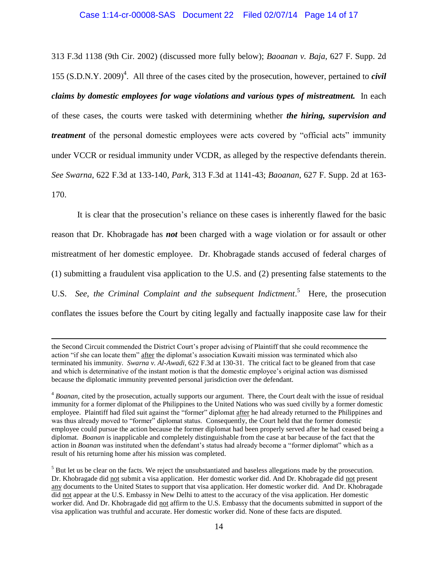313 F.3d 1138 (9th Cir. 2002) (discussed more fully below); *Baoanan v. Baja*, 627 F. Supp. 2d 155 (S.D.N.Y. 2009) 4 . All three of the cases cited by the prosecution, however, pertained to *civil claims by domestic employees for wage violations and various types of mistreatment.* In each of these cases, the courts were tasked with determining whether *the hiring, supervision and treatment* of the personal domestic employees were acts covered by "official acts" immunity under VCCR or residual immunity under VCDR, as alleged by the respective defendants therein. *See Swarna*, 622 F.3d at 133-140, *Park*, 313 F.3d at 1141-43; *Baoanan*, 627 F. Supp. 2d at 163- 170.

It is clear that the prosecution's reliance on these cases is inherently flawed for the basic reason that Dr. Khobragade has *not* been charged with a wage violation or for assault or other mistreatment of her domestic employee. Dr. Khobragade stands accused of federal charges of (1) submitting a fraudulent visa application to the U.S. and (2) presenting false statements to the U.S. *See, the Criminal Complaint and the subsequent Indictment*. <sup>5</sup> Here, the prosecution conflates the issues before the Court by citing legally and factually inapposite case law for their

l

the Second Circuit commended the District Court's proper advising of Plaintiff that she could recommence the action "if she can locate them" after the diplomat's association Kuwaiti mission was terminated which also terminated his immunity. *Swarna v. Al-Awadi,* 622 F.3d at 130-31. The critical fact to be gleaned from that case and which is determinative of the instant motion is that the domestic employee's original action was dismissed because the diplomatic immunity prevented personal jurisdiction over the defendant.

<sup>4</sup> *Boanan,* cited by the prosecution, actually supports our argument. There, the Court dealt with the issue of residual immunity for a former diplomat of the Philippines to the United Nations who was sued civilly by a former domestic employee. Plaintiff had filed suit against the "former" diplomat after he had already returned to the Philippines and was thus already moved to "former" diplomat status. Consequently, the Court held that the former domestic employee could pursue the action because the former diplomat had been properly served after he had ceased being a diplomat. *Boanan* is inapplicable and completely distinguishable from the case at bar because of the fact that the action in *Boanan* was instituted when the defendant's status had already become a "former diplomat" which as a result of his returning home after his mission was completed.

<sup>&</sup>lt;sup>5</sup> But let us be clear on the facts. We reject the unsubstantiated and baseless allegations made by the prosecution. Dr. Khobragade did not submit a visa application. Her domestic worker did. And Dr. Khobragade did not present any documents to the United States to support that visa application. Her domestic worker did. And Dr. Khobragade did not appear at the U.S. Embassy in New Delhi to attest to the accuracy of the visa application. Her domestic worker did. And Dr. Khobragade did not affirm to the U.S. Embassy that the documents submitted in support of the visa application was truthful and accurate. Her domestic worker did. None of these facts are disputed.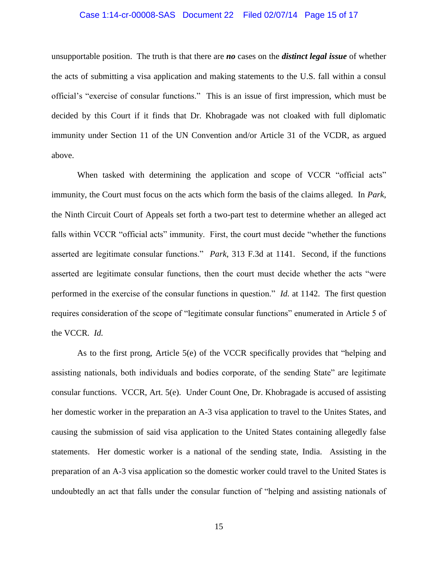### Case 1:14-cr-00008-SAS Document 22 Filed 02/07/14 Page 15 of 17

unsupportable position. The truth is that there are *no* cases on the *distinct legal issue* of whether the acts of submitting a visa application and making statements to the U.S. fall within a consul official's "exercise of consular functions." This is an issue of first impression, which must be decided by this Court if it finds that Dr. Khobragade was not cloaked with full diplomatic immunity under Section 11 of the UN Convention and/or Article 31 of the VCDR, as argued above.

When tasked with determining the application and scope of VCCR "official acts" immunity, the Court must focus on the acts which form the basis of the claims alleged. In *Park*, the Ninth Circuit Court of Appeals set forth a two-part test to determine whether an alleged act falls within VCCR "official acts" immunity. First, the court must decide "whether the functions asserted are legitimate consular functions." *Park*, 313 F.3d at 1141. Second, if the functions asserted are legitimate consular functions, then the court must decide whether the acts "were performed in the exercise of the consular functions in question." *Id.* at 1142. The first question requires consideration of the scope of "legitimate consular functions" enumerated in Article 5 of the VCCR*. Id.*

As to the first prong, Article 5(e) of the VCCR specifically provides that "helping and assisting nationals, both individuals and bodies corporate, of the sending State" are legitimate consular functions. VCCR, Art. 5(e). Under Count One, Dr. Khobragade is accused of assisting her domestic worker in the preparation an A-3 visa application to travel to the Unites States, and causing the submission of said visa application to the United States containing allegedly false statements. Her domestic worker is a national of the sending state, India. Assisting in the preparation of an A-3 visa application so the domestic worker could travel to the United States is undoubtedly an act that falls under the consular function of "helping and assisting nationals of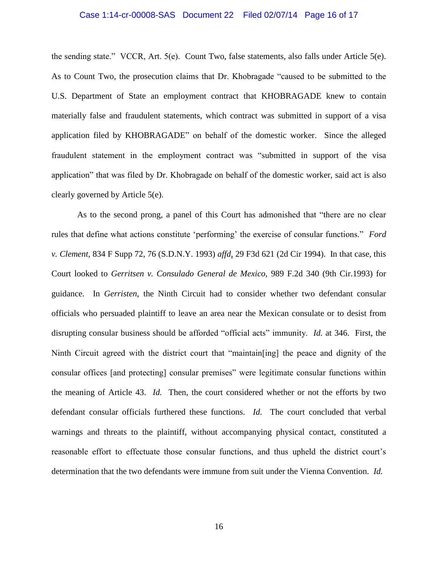### Case 1:14-cr-00008-SAS Document 22 Filed 02/07/14 Page 16 of 17

the sending state." VCCR, Art. 5(e). Count Two, false statements, also falls under Article 5(e). As to Count Two, the prosecution claims that Dr. Khobragade "caused to be submitted to the U.S. Department of State an employment contract that KHOBRAGADE knew to contain materially false and fraudulent statements, which contract was submitted in support of a visa application filed by KHOBRAGADE" on behalf of the domestic worker. Since the alleged fraudulent statement in the employment contract was "submitted in support of the visa application" that was filed by Dr. Khobragade on behalf of the domestic worker, said act is also clearly governed by Article 5(e).

As to the second prong, a panel of this Court has admonished that "there are no clear rules that define what actions constitute 'performing' the exercise of consular functions." *Ford v. Clement,* 834 F Supp 72, 76 (S.D.N.Y. 1993) *affd*, 29 F3d 621 (2d Cir 1994). In that case, this Court looked to *Gerritsen v. Consulado General de Mexico,* 989 F.2d 340 (9th Cir.1993) for guidance. In *Gerristen*, the Ninth Circuit had to consider whether two defendant consular officials who persuaded plaintiff to leave an area near the Mexican consulate or to desist from disrupting consular business should be afforded "official acts" immunity. *Id.* at 346. First, the Ninth Circuit agreed with the district court that "maintain[ing] the peace and dignity of the consular offices [and protecting] consular premises" were legitimate consular functions within the meaning of Article 43. *Id.* Then, the court considered whether or not the efforts by two defendant consular officials furthered these functions. *Id.* The court concluded that verbal warnings and threats to the plaintiff, without accompanying physical contact, constituted a reasonable effort to effectuate those consular functions, and thus upheld the district court's determination that the two defendants were immune from suit under the Vienna Convention. *Id.*